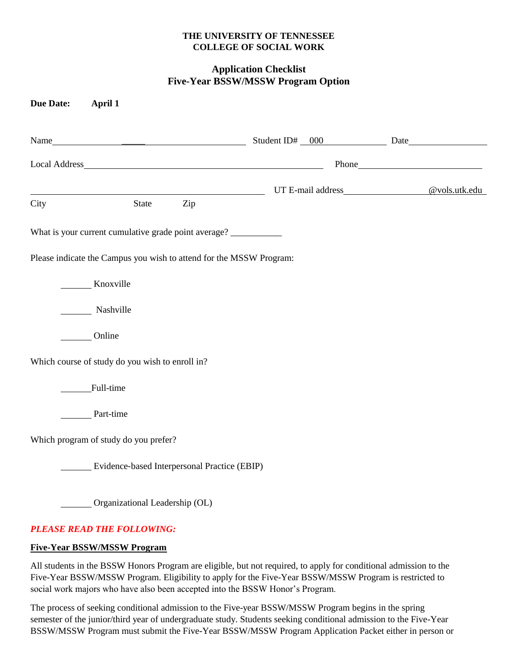## **THE UNIVERSITY OF TENNESSEE COLLEGE OF SOCIAL WORK**

## **Application Checklist Five-Year BSSW/MSSW Program Option**

|                                                                                   |     | UT E-mail address <b>CONFIGURE CONSTRUES</b> CONSULTER USE OF THE CONSULTER CONSULTER CONSULTER CONSULTER CONSULTER CONSULTER CONSULTER CONSULTER CONSULTER CONSULTER CONSULTER CONSULTER CONSULTER CONSUMING CONSUMING CONSUMING C |
|-----------------------------------------------------------------------------------|-----|-------------------------------------------------------------------------------------------------------------------------------------------------------------------------------------------------------------------------------------|
| City<br><b>State</b>                                                              | Zip |                                                                                                                                                                                                                                     |
| What is your current cumulative grade point average? ____________________________ |     |                                                                                                                                                                                                                                     |
| Please indicate the Campus you wish to attend for the MSSW Program:               |     |                                                                                                                                                                                                                                     |
| Knoxville                                                                         |     |                                                                                                                                                                                                                                     |
| Nashville                                                                         |     |                                                                                                                                                                                                                                     |
| Online                                                                            |     |                                                                                                                                                                                                                                     |
| Which course of study do you wish to enroll in?                                   |     |                                                                                                                                                                                                                                     |
| Full-time                                                                         |     |                                                                                                                                                                                                                                     |
| Part-time                                                                         |     |                                                                                                                                                                                                                                     |
| Which program of study do you prefer?                                             |     |                                                                                                                                                                                                                                     |
| Evidence-based Interpersonal Practice (EBIP)                                      |     |                                                                                                                                                                                                                                     |
| Organizational Leadership (OL)                                                    |     |                                                                                                                                                                                                                                     |
| <b>PLEASE READ THE FOLLOWING:</b>                                                 |     |                                                                                                                                                                                                                                     |
| <b>Five-Year BSSW/MSSW Program</b>                                                |     |                                                                                                                                                                                                                                     |

All students in the BSSW Honors Program are eligible, but not required, to apply for conditional admission to the Five-Year BSSW/MSSW Program. Eligibility to apply for the Five-Year BSSW/MSSW Program is restricted to social work majors who have also been accepted into the BSSW Honor's Program.

The process of seeking conditional admission to the Five-year BSSW/MSSW Program begins in the spring semester of the junior/third year of undergraduate study. Students seeking conditional admission to the Five-Year BSSW/MSSW Program must submit the Five-Year BSSW/MSSW Program Application Packet either in person or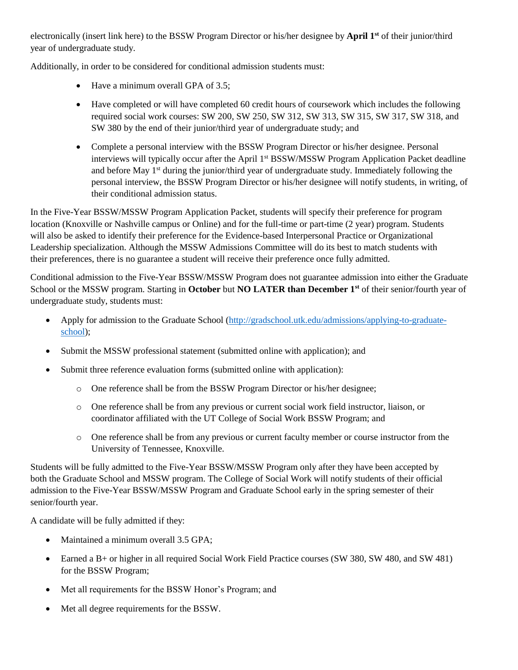electronically (insert link here) to the BSSW Program Director or his/her designee by **April 1st** of their junior/third year of undergraduate study.

Additionally, in order to be considered for conditional admission students must:

- Have a minimum overall GPA of 3.5;
- Have completed or will have completed 60 credit hours of coursework which includes the following required social work courses: SW 200, SW 250, SW 312, SW 313, SW 315, SW 317, SW 318, and SW 380 by the end of their junior/third year of undergraduate study; and
- Complete a personal interview with the BSSW Program Director or his/her designee. Personal interviews will typically occur after the April 1st BSSW/MSSW Program Application Packet deadline and before May  $1<sup>st</sup>$  during the junior/third year of undergraduate study. Immediately following the personal interview, the BSSW Program Director or his/her designee will notify students, in writing, of their conditional admission status.

In the Five-Year BSSW/MSSW Program Application Packet, students will specify their preference for program location (Knoxville or Nashville campus or Online) and for the full-time or part-time (2 year) program. Students will also be asked to identify their preference for the Evidence-based Interpersonal Practice or Organizational Leadership specialization. Although the MSSW Admissions Committee will do its best to match students with their preferences, there is no guarantee a student will receive their preference once fully admitted.

Conditional admission to the Five-Year BSSW/MSSW Program does not guarantee admission into either the Graduate School or the MSSW program. Starting in **October** but **NO LATER than December 1st** of their senior/fourth year of undergraduate study, students must:

- Apply for admission to the Graduate School [\(http://gradschool.utk.edu/admissions/applying-to-graduate](http://gradschool.utk.edu/admissions/applying-to-graduate-school)[school\)](http://gradschool.utk.edu/admissions/applying-to-graduate-school);
- Submit the MSSW professional statement (submitted online with application); and
- Submit three reference evaluation forms (submitted online with application):
	- o One reference shall be from the BSSW Program Director or his/her designee;
	- o One reference shall be from any previous or current social work field instructor, liaison, or coordinator affiliated with the UT College of Social Work BSSW Program; and
	- o One reference shall be from any previous or current faculty member or course instructor from the University of Tennessee, Knoxville.

Students will be fully admitted to the Five-Year BSSW/MSSW Program only after they have been accepted by both the Graduate School and MSSW program. The College of Social Work will notify students of their official admission to the Five-Year BSSW/MSSW Program and Graduate School early in the spring semester of their senior/fourth year.

A candidate will be fully admitted if they:

- Maintained a minimum overall 3.5 GPA;
- Earned a B+ or higher in all required Social Work Field Practice courses (SW 380, SW 480, and SW 481) for the BSSW Program;
- Met all requirements for the BSSW Honor's Program; and
- Met all degree requirements for the BSSW.